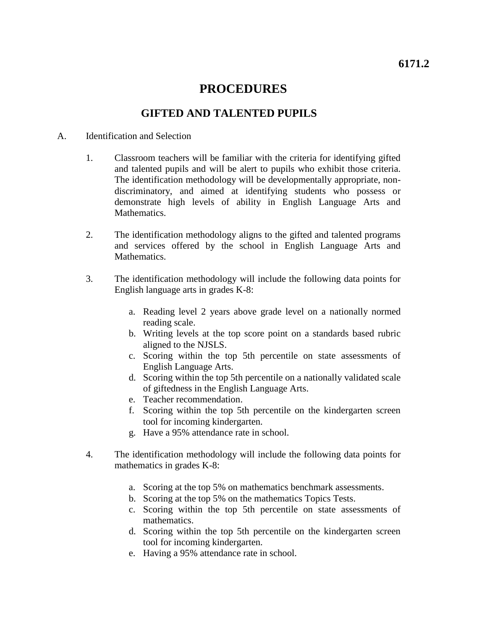## **PROCEDURES**

### **GIFTED AND TALENTED PUPILS**

### A. Identification and Selection

- 1. Classroom teachers will be familiar with the criteria for identifying gifted and talented pupils and will be alert to pupils who exhibit those criteria. The identification methodology will be developmentally appropriate, nondiscriminatory, and aimed at identifying students who possess or demonstrate high levels of ability in English Language Arts and Mathematics.
- 2. The identification methodology aligns to the gifted and talented programs and services offered by the school in English Language Arts and Mathematics.
- 3. The identification methodology will include the following data points for English language arts in grades K-8:
	- a. Reading level 2 years above grade level on a nationally normed reading scale.
	- b. Writing levels at the top score point on a standards based rubric aligned to the NJSLS.
	- c. Scoring within the top 5th percentile on state assessments of English Language Arts.
	- d. Scoring within the top 5th percentile on a nationally validated scale of giftedness in the English Language Arts.
	- e. Teacher recommendation.
	- f. Scoring within the top 5th percentile on the kindergarten screen tool for incoming kindergarten.
	- g. Have a 95% attendance rate in school.
- 4. The identification methodology will include the following data points for mathematics in grades K-8:
	- a. Scoring at the top 5% on mathematics benchmark assessments.
	- b. Scoring at the top 5% on the mathematics Topics Tests.
	- c. Scoring within the top 5th percentile on state assessments of mathematics.
	- d. Scoring within the top 5th percentile on the kindergarten screen tool for incoming kindergarten.
	- e. Having a 95% attendance rate in school.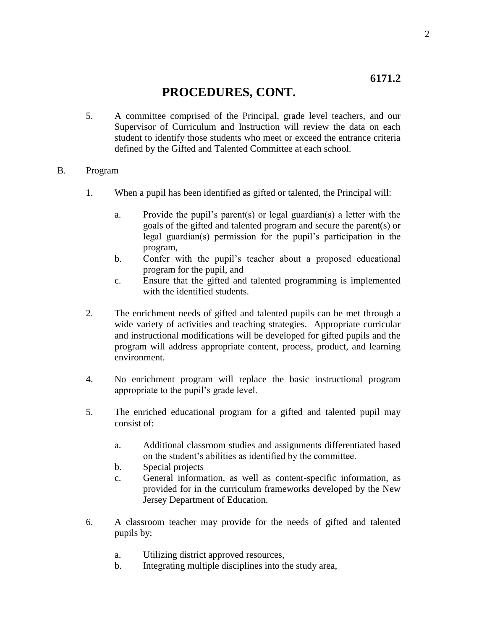## **6171.2**

# **PROCEDURES, CONT.**

5. A committee comprised of the Principal, grade level teachers, and our Supervisor of Curriculum and Instruction will review the data on each student to identify those students who meet or exceed the entrance criteria defined by the Gifted and Talented Committee at each school.

### B. Program

- 1. When a pupil has been identified as gifted or talented, the Principal will:
	- a. Provide the pupil's parent(s) or legal guardian(s) a letter with the goals of the gifted and talented program and secure the parent(s) or legal guardian(s) permission for the pupil's participation in the program,
	- b. Confer with the pupil's teacher about a proposed educational program for the pupil, and
	- c. Ensure that the gifted and talented programming is implemented with the identified students.
- 2. The enrichment needs of gifted and talented pupils can be met through a wide variety of activities and teaching strategies. Appropriate curricular and instructional modifications will be developed for gifted pupils and the program will address appropriate content, process, product, and learning environment.
- 4. No enrichment program will replace the basic instructional program appropriate to the pupil's grade level.
- 5. The enriched educational program for a gifted and talented pupil may consist of:
	- a. Additional classroom studies and assignments differentiated based on the student's abilities as identified by the committee.
	- b. Special projects
	- c. General information, as well as content-specific information, as provided for in the curriculum frameworks developed by the New Jersey Department of Education.
- 6. A classroom teacher may provide for the needs of gifted and talented pupils by:
	- a. Utilizing district approved resources,
	- b. Integrating multiple disciplines into the study area,